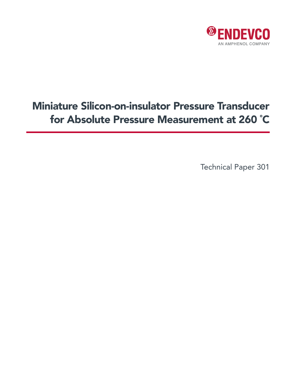

# Miniature Silicon-on-insulator Pressure Transducer for Absolute Pressure Measurement at 260 ˚C

Technical Paper 301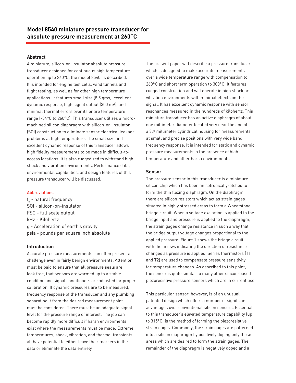# **Abstract**

A miniature, silicon-on-insulator absolute pressure transducer designed for continuous high temperature operation up to 260°C, the model 8540, is described. It is intended for engine test cells, wind tunnels and flight testing, as well as for other high temperature applications. It features small size (8.5 gms), excellent dynamic response, high signal output (300 mV), and minimal thermal errors over its entire temperature range (-54°C to 260°C). This transducer utilizes a micromachined silicon diaphragm with silicon-on-insulator (SOI) construction to eliminate sensor electrical leakage problems at high temperature. The small size and excellent dynamic response of this transducer allows high fidelity measurements to be made in difficult-toaccess locations. It is also ruggedized to withstand high shock and vibration environments. Performance data, environmental capabilities, and design features of this pressure transducer will be discussed.

# Abbreviations

f n - natural frequency SOI - silicon-on-insulator FSO - full scale output kHz - Kilohertz g - Acceleration of earth's gravity psia - pounds per square inch absolute

# **Introduction**

Accurate pressure measurements can often present a challenge even in fairly benign environments. Attention must be paid to ensure that all pressure seals are leak free, that sensors are warmed up to a stable condition and signal conditioners are adjusted for proper calibration. If dynamic pressures are to be measured, frequency response of the transducer and any plumbing separating it from the desired measurement point must be considered. There must be an adequate signal level for the pressure range of interest. The job can become rapidly more difficult if harsh environments exist where the measurements must be made. Extreme temperatures, shock, vibration, and thermal transients all have potential to either leave their markers in the data or eliminate the data entirely.

The present paper will describe a pressure transducer which is designed to make accurate measurements over a wide temperature range with compensation to 260°C and short term operation to 300°C. It features rugged construction and will operate in high shock or vibration environments with minimal effects on the signal. It has excellent dynamic response with sensor resonances measured in the hundreds of kilohertz. This miniature transducer has an active diaphragm of about one millimeter diameter located very near the end of a 3.9 millimeter cylindrical housing for measurements at small and precise positions with very wide band frequency response. It is intended for static and dynamic pressure measurements in the presence of high temperature and other harsh environments.

# **Sensor**

The pressure sensor in this transducer is a miniature silicon chip which has been anisotropically-etched to form the thin flexing diaphragm. On the diaphragm there are silicon resistors which act as strain gages situated in highly stressed areas to form a Wheatstone bridge circuit. When a voltage excitation is applied to the bridge input and pressure is applied to the diaphragm, the strain gages change resistance in such a way that the bridge output voltage changes proportional to the applied pressure. Figure 1 shows the bridge circuit, with the arrows indicating the direction of resistance changes as pressure is applied. Series thermistors (T1 and T2) are used to compensate pressure sensitivity for temperature changes. As described to this point, the sensor is quite similar to many other silicon-based piezoresistive pressure sensors which are in current use.

This particular sensor, however, is of an unusual, patented design which offers a number of significant advantages over conventional silicon sensors. Essential to this transducer's elevated temperature capability (up to 315°C) is the method of forming the piezoresistive strain gages. Commonly, the strain gages are patterned into a silicon diaphragm by positively doping only those areas which are desired to form the strain gages. The remainder of the diaphragm is negatively doped and a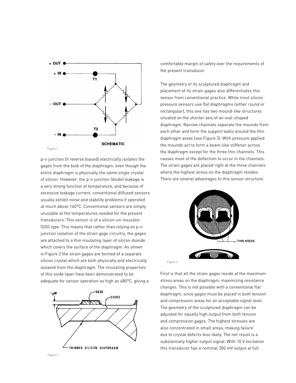

p-n junction (if reverse biased) electrically isolates the gages from the bulk of the diaphragm, even though the entire diaphragm is physically the same single crystal of silicon. However, the p-n junction (diode) leakage is a very strong function of temperature, and because of excessive leakage current, conventional diffused sensors usually exhibit noise and stability problems if operated at much above 140°C. Conventional sensors are simply unusable at the temperatures needed for the present transducers. This sensor is of a silicon-on-insulator (SOI) type. This means that rather than relying on p-n junction isolation of the strain gage circuitry, the gages are attached to a thin insulating layer of silicon dioxide which covers the surface of the diaphragm. As shown in Figure 2 the strain gages are formed of a separate silicon crystal which are both physically and electrically isolated from the diaphragm. The insulating properties of this oxide layer have been demonstrated to be adequate for sensor operation as high as 480°C, giving a



comfortable margin of safety over the requirements of the present transducer.

The geometry of its sculptured diaphragm and placement of its strain gages also differentiates this sensor from conventional practice. While most silicon pressure sensors use flat diaphragms (either round or rectangular), this one has two mound-like structures situated on the shorter axis of an oval-shaped diaphragm. Narrow channels separate the mounds from each other and form the support walls around the thin diaphragm areas (see Figure 3). With pressure applied the mounds act to form a beam-like stiffener across the diaphragm except for the three thin channels. This causes most of the deflection to occur in the channels. The strain gages are placed right at the three channels where the highest stress on the diaphragm resides. There are several advantages to this sensor structure.



First is that all the strain gages reside at the maximum stress areas on the diaphragm, maximizing resistance changes. This is not possible with a conventional flat diaphragm, since gages must be placed in both tension and compression areas for an acceptable signal level. The geometry of the sculptured diaphragm can be adjusted for equally high output from both tension and compression gages. The highest stresses are also concentrated in small areas, making failure due to crystal defects less likely. The net result is a substantially higher output signal. With 10 V excitation this transducer has a nominal 300 mV output at full

Figure 3.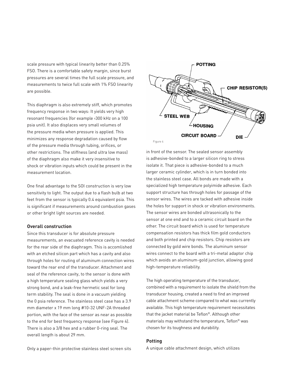scale pressure with typical linearity better than 0.25% FSO. There is a comfortable safety margin, since burst pressures are several times the full scale pressure, and measurements to twice full scale with 1% FSO linearity are possible.

This diaphragm is also extremely stiff, which promotes frequency response in two ways: It yields very high resonant frequencies (for example >300 kHz on a 100 psia unit). It also displaces very small volumes of the pressure media when pressure is applied. This minimizes any response degradation caused by flow of the pressure media through tubing, orifices, or other restrictions. The stiffness (and ultra low mass) of the diaphragm also make it very insensitive to shock or vibration inputs which could be present in the measurement location.

One final advantage to the SOI construction is very low sensitivity to light. The output due to a flash bulb at two feet from the sensor is typically 0.4 equivalent psia. This is significant if measurements around combustion gases or other bright light sources are needed.

# **Overall construction**

Since this transducer is for absolute pressure measurements, an evacuated reference cavity is needed for the rear side of the diaphragm. This is accomlished with an etched silicon part which has a cavity and also through holes for routing of aluminum connection wires toward the rear end of the transducer. Attachment and seal of the reference cavity, to the sensor is done with a high temperature sealing glass which yields a very strong bond, and a leak-free hermetic seal for long term stability. The seal is done in a vacuum yielding the 0 psia reference. The stainless steel case has a 3.9 mm diameter x 19 mm long #10-32 UNF-2A threaded portion, with the face of the sensor as near as possible to the end for best frequency response (see Figure 4). There is also a 3/8 hex and a rubber 0-ring seal. The overall length is about 29 mm.

Only a paper-thin protective stainless steel screen sits



in front of the sensor. The sealed sensor assembly is adhesive-bonded to a larger silicon ring to stress isolate it. That piece is adhesive-bonded to a much larger ceramic cylinder, which is in turn bonded into the stainless steel case. All bonds are made with a specialized high temperature polyimide adhesive. Each support structure has through holes for passage of the sensor wires. The wires are tacked with adhesive inside the holes for support in shock or vibration environments. The sensor wires are bonded ultrasonically to the sensor at one end and to a ceramic circuit board on the other. The circuit board which is used for temperature compensation resistors has thick film gold conductors and both printed and chip resistors. Chip resistors are connected by gold wire bonds. The aluminum sensor wires connect to the board with a tri-metal adaptor chip which avoids an aluminum-gold junction, allowing good high-temperature reliability.

The high operating temperature of the transducer, combined with a requirement to isolate the shield from the transducer housing, created a need to find an improved cable attachment scheme compared to what was currently available. This high temperature requirement necessitates that the jacket material be Teflon®. Although other materials may withstand the temperature, Teflon® was chosen for its toughness and durability.

# **Potting**

A unique cable attachment design, which utilizes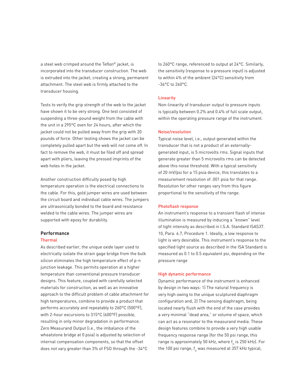a steel web crimped around the Teflon® jacket, is incorporated into the transducer construction. The web is extruded into the jacket, creating a strong, permanent attachment. The steel web is firmly attached to the transducer housing.

Tests to verify the grip strength of the web to the jacket have shown it to be very strong. One test consisted of suspending a three-pound weight from the cable with the unit in a 295°C oven for 24 hours, after which the jacket could not be pulled away from the grip with 20 pounds of force. Other testing shows the jacket can be completely pulled apart but the web will not come off. In fact to remove the web, it must be filed off and spread apart with pliers, leaving the pressed imprints of the web holes in the jacket.

Another construction difficulty posed by high temperature operation is the electrical connections to the cable. For this, gold jumper wires are used between the circuit board and individual cable wires. The jumpers are ultrasonically bonded to the board and resistance welded to the cable wires. The jumper wires are supported with epoxy for durability.

# **Performance**

#### **Thermal**

As described earlier, the unique oxide layer used to electrically isolate the strain gage bridge from the bulk silicon eliminates the high temperature effect of p-n junction leakage. This permits operation at a higher temperature than conventional pressure transducer designs. This feature, coupled with carefully selected materials for construction, as well as an innovative approach to the difficult problem of cable attachment for high temperatures, combine to provide a product that performs accurately and repeatably to 260°C (500°F), with 2-hour excursions to 315°C (600°F) possible, resulting in only minor degradation in performance. Zero Measurand Output (i.e., the imbalance of the wheatstone bridge at 0 psia) is adjusted by selection of internal compensation components, so that the offset does not vary greater than 3% of FSO through the -34°C

to 260°C range, referenced to output at 24°C. Similarly, the sensitivity (response to a pressure input) is adjusted to within 4% of the ambient (24°C) sensitivity from -34°C to 260°C.

# **Linearity**

Non-linearity of transducer output to pressure inputs is typically between 0.2% and 0.4% of full scale output, within the operating pressure range of the instrument.

#### Noise/resolution

Typical noise level, i.e., output generated within the transducer that is not a product of an externallygenerated input, is 5 microvolts rms. Signal inputs that generate greater than 5 microvolts rms can be detected above this noise threshold. With a typical sensitivity of 20 mV/psi for a 15 psia device, this translates to a measurement resolution of .001 psia for that range. Resolution for other ranges vary from this figure proportional to the sensitivity of the range.

#### Photoflash response

An instrument's response to a transient flash of intense illumination is measured by inducing a "known" level of light intensity as described in I.S.A. Standard ISAS37. 10, Para. 6.7, Procedure 1. Ideally, a low response to light is very desirable. This instrument's response to the specified light source as described in the ISA Standard is measured as 0.1 to 0.5 equivalent psi, depending on the pressure range

#### High dynamic performance

Dynamic performance of the instrument is enhanced by design in two ways: 1) The natural frequency is very high owing to the unique sculptured diaphragm configuration and, 2) The sensing diaphragm, being located nearly flush with the end of the case provides a very minimal "dead area," or volume of space, which can act as a resonator to the measurand media. These design features combine to provide a very high usable frequency response range (for the 50 psi range, this range is approximately 50 kHz, where f<sub>n</sub> is 250 kHz). For the 100 psi range, f<sub>n</sub> was measured at 357 kHz typical,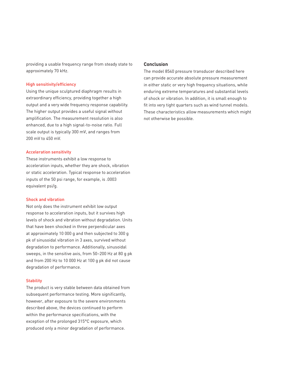providing a usable frequency range from steady state to approximately 70 kHz.

# High sensitivity/efficiency

Using the unique sculptured diaphragm results in extraordinary efficiency, providing together a high output and a very wide frequency response capability. The higher output provides a useful signal without amplification. The measurement resolution is also enhanced, due to a high signal-to-noise ratio. Full scale output is typically 300 mV, and ranges from 200 mV to 450 mV.

# Acceleration sensitivity

These instruments exhibit a low response to acceleration inputs, whether they are shock, vibration or static acceleration. Typical response to acceleration inputs of the 50 psi range, for example, is .0003 equivalent psi/g.

# Shock and vibration

Not only does the instrument exhibit low output response to acceleration inputs, but it survives high levels of shock and vibration without degradation. Units that have been shocked in three perpendicular axes at approximately 10 000 g and then subjected to 300 g pk of sinusoidal vibration in 3 axes, survived without degradation to performance. Additionally, sinusoidal sweeps, in the sensitive axis, from 50–200 Hz at 80 g pk and from 200 Hz to 10 000 Hz at 100 g pk did not cause degradation of performance.

# **Stability**

The product is very stable between data obtained from subsequent performance testing. More significantly, however, after exposure to the severe environments described above, the devices continued to perform within the performance specifications, with the exception of the prolonged 315°C exposure, which produced only a minor degradation of performance.

# **Conclusion**

The model 8540 pressure transducer described here can provide accurate absolute pressure measurement in either static or very high frequency situations, while enduring extreme temperatures and substantial levels of shock or vibration. In addition, it is small enough to fit into very tight quarters such as wind tunnel models. These characteristics allow measurements which might not otherwise be possible.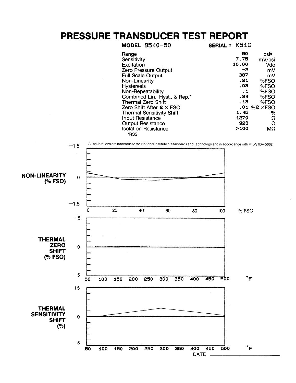# PRESSURE TRANSDUCER TEST REPORT

| <b>MODEL 8540-50</b>                | SERIAL # K51C |                       |
|-------------------------------------|---------------|-----------------------|
| Range                               | 50            | psia                  |
| Sensitivity                         | 7.75          | mV/psi                |
| Excitation                          | 10.00         | Vdc                   |
| Zero Pressure Output                | -2            | mV                    |
| <b>Full Scale Output</b>            | 387           | mV                    |
| Non-Linearity                       | .21           | %FSO                  |
| <b>Hysteresis</b>                   | .03           | %FSO                  |
| Non-Repeatability                   | $\cdot$ 1     | %FSO                  |
| Combined Lin., Hyst., & Rep.*       | .24           | %FSO                  |
| <b>Thermal Zero Shift</b>           | . 13          | %FSO                  |
| Zero Shift After $2 \times FSO$     |               | $.01$ %2 $\times$ FSO |
| <b>Thermal Sensitivity Shift</b>    | 1.45          | $\frac{0}{0}$         |
| <b>Input Resistance</b>             | 1270          | Ω                     |
| <b>Output Resistance</b>            | 923           | Ω                     |
| <b>Isolation Resistance</b><br>*RSS | >100          | MΩ                    |